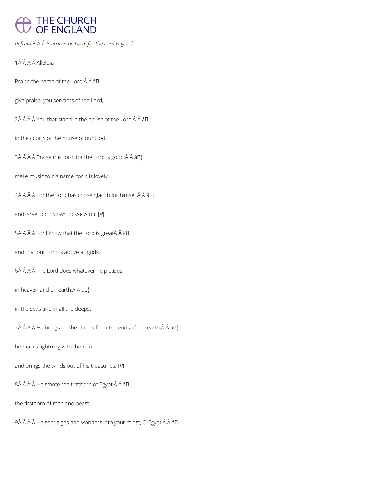# THE CHURCH<br>OF ENGLAND

*Refrain: Praise the Lord, for the Lord is good.*

1Â Â Â Â Alleluia.

Praise the name of the Lord; $\hat{A}$   $\hat{A}$   $\hat{a}$  $\Gamma$ 

give praise, you servants of the Lord,

 $2\hat{A}$   $\hat{A}$   $\hat{A}$   $\hat{A}$  You that stand in the house of the Lord, $\hat{A}$   $\hat{A}$   $\hat{B}$  $I$ <sub>1</sub>

in the courts of the house of our God.

 $3\hat{A}$   $\hat{A}$   $\hat{A}$   $\hat{B}$  Praise the Lord, for the Lord is good; $\hat{A}$   $\hat{A}$   $\hat{B}$  $I$ <sub>1</sub>

make music to his name, for it is lovely.

 $4\hat{A}$   $\hat{A}$   $\hat{A}$   $\hat{A}$  For the Lord has chosen Jacob for himself $\hat{A}$   $\hat{A}$   $\hat{a}$   $\Box$ 

and Israel for his own possession. [*R*]

 $5\hat{A}$   $\hat{A}$   $\hat{A}$   $\hat{B}$  For I know that the Lord is great $\hat{A}$   $\hat{A}$   $\hat{B}$  $I$ <sub>1</sub>

and that our Lord is above all gods.

6Â Â Â Â The Lord does whatever he pleases

in heaven and on earth, $\hat{A}$   $\hat{A}$   $\hat{a}$  $\Box$ 

in the seas and in all the deeps.

7Â Â Â Â He brings up the clouds from the ends of the earth; Â Â â  $\mathbb{I}^1$ 

he makes lightning with the rain

and brings the winds out of his treasuries. [*R*]

 $8\hat{A}$   $\hat{A}$   $\hat{A}$  He smote the firstborn of Egypt, $\hat{A}$   $\hat{A}$   $\hat{a}$   $\Box$ 

the firstborn of man and beast.

9Â Â Â Â He sent signs and wonders into your midst, O Egypt, Â Â â D¦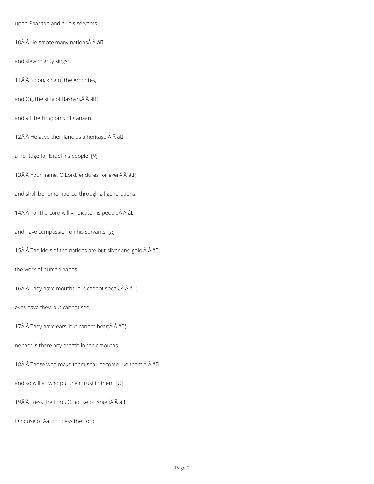upon Pharaoh and all his servants.

10 He smote many nations Â âD¦

and slew mighty kings:

11Â Â Sihon, king of the Amorites,

and Og, the king of Bashan, $\hat{A}$   $\hat{A}$   $\hat{a}$  $\Gamma$ 

and all the kingdoms of Canaan.

12 $\hat{A}$   $\hat{A}$  He gave their land as a heritage, $\hat{A}$   $\hat{A}$   $\hat{a}$  $\Box$ 

a heritage for Israel his people. [*R*]

13 $\hat{A}$   $\hat{A}$  Your name, O Lord, endures for ever $\hat{A}$   $\hat{A}$   $\hat{a}$   $\Box$ 

and shall be remembered through all generations.

14 $\hat{A}$   $\hat{A}$  For the Lord will vindicate his people $\hat{A}$   $\hat{A}$   $\hat{a}$   $\Box$ 

and have compassion on his servants. [*R*]

15Å  $\hat{A}$  The idols of the nations are but silver and gold, $\hat{A}$   $\hat{A}$   $\hat{a}$   $\Box$ 

the work of human hands.

16 $\hat{A}$   $\hat{A}$  They have mouths, but cannot speak; $\hat{A}$   $\hat{A}$   $\hat{a}$  $\Box$ 

eyes have they, but cannot see;

17 $\hat{A}$   $\hat{A}$  They have ears, but cannot hear; $\hat{A}$   $\hat{A}$   $\hat{a}$  $\Box$ 

neither is there any breath in their mouths.

18 $\hat{A}$   $\hat{A}$  Those who make them shall become like them, $\hat{A}$   $\hat{A}$   $\hat{a}$   $\Box$ 

and so will all who put their trust in them. [*R*]

19 $\hat{A}$   $\hat{A}$  Bless the Lord, O house of Israel; $\hat{A}$   $\hat{A}$   $\hat{a}$  $\Pi$ <sub>1</sub>

O house of Aaron, bless the Lord.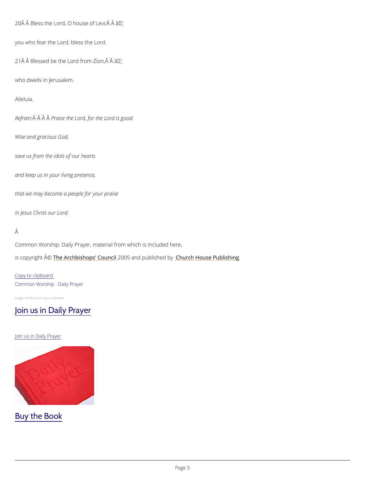```
20 \text{\AA} \text{\AA} Bless the Lord, O houlth and the vi; \text{\AA} \text{\AA}
```

```
you who fear the Lord, bless the Lord.
```
 $21$   $\hat{A}$   $\hat{A}$  Blessed be the Lord  $f$ <sup>+</sup> bm Zion,  $\hat{A}$   $\hat{A}$ 

who dwells in Jerusalem.

Alleluia.

Refra $\hat{A}$ in $\hat{A}$   $\hat{A}$ P  $\hat{P}$ a ise the Lord, for the Lord is good.

Common Worship: Daily Prayer, material from which is included here, is copyright  $\hat{\mathbb{A}}$  @Archbishops' 2000 u5 n and publish hend roby House Publishing

Wise and gracious God,

save us from the idols of our hearts

and keep us in your living presence,

that we may become a people for your praise

in Jesus Christ our Lord.

#### Â

Copy to clipboard Common Worship - Daily Prayer

Image not found or type unknown

### [Join us in Daily Prayer](https://www.churchofengland.org/prayer-and-worship/join-us-in-daily-prayer)

#### Join us in Daily Prayer

## Buy the Book